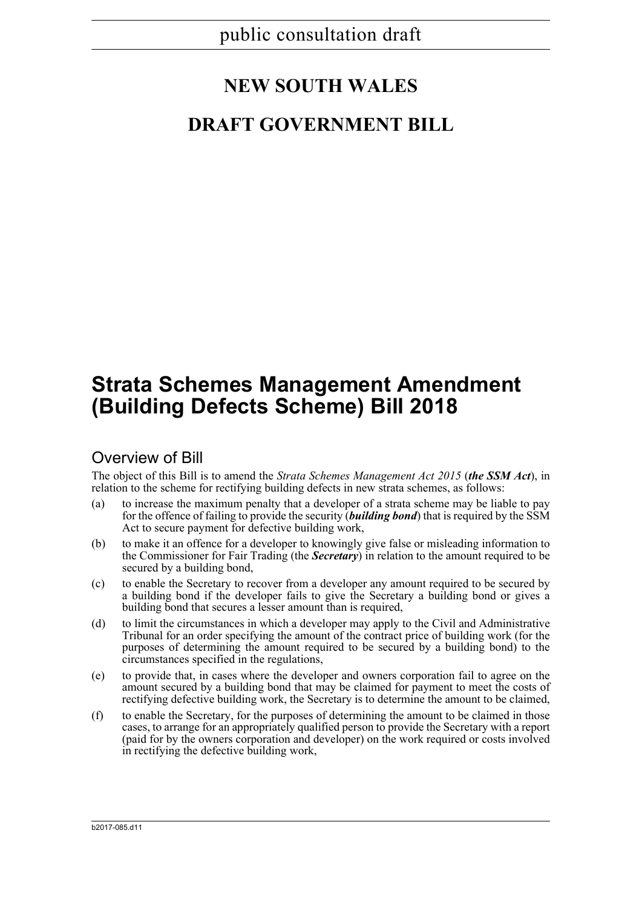# **NEW SOUTH WALES**

# **DRAFT GOVERNMENT BILL**

# **Strata Schemes Management Amendment (Building Defects Scheme) Bill 2018**

## Overview of Bill

The object of this Bill is to amend the *Strata Schemes Management Act 2015* (*the SSM Act*), in relation to the scheme for rectifying building defects in new strata schemes, as follows:

- (a) to increase the maximum penalty that a developer of a strata scheme may be liable to pay for the offence of failing to provide the security (*building bond*) that is required by the SSM Act to secure payment for defective building work,
- (b) to make it an offence for a developer to knowingly give false or misleading information to the Commissioner for Fair Trading (the *Secretary*) in relation to the amount required to be secured by a building bond,
- (c) to enable the Secretary to recover from a developer any amount required to be secured by a building bond if the developer fails to give the Secretary a building bond or gives a building bond that secures a lesser amount than is required,
- (d) to limit the circumstances in which a developer may apply to the Civil and Administrative Tribunal for an order specifying the amount of the contract price of building work (for the purposes of determining the amount required to be secured by a building bond) to the circumstances specified in the regulations,
- (e) to provide that, in cases where the developer and owners corporation fail to agree on the amount secured by a building bond that may be claimed for payment to meet the costs of rectifying defective building work, the Secretary is to determine the amount to be claimed,
- (f) to enable the Secretary, for the purposes of determining the amount to be claimed in those cases, to arrange for an appropriately qualified person to provide the Secretary with a report (paid for by the owners corporation and developer) on the work required or costs involved in rectifying the defective building work,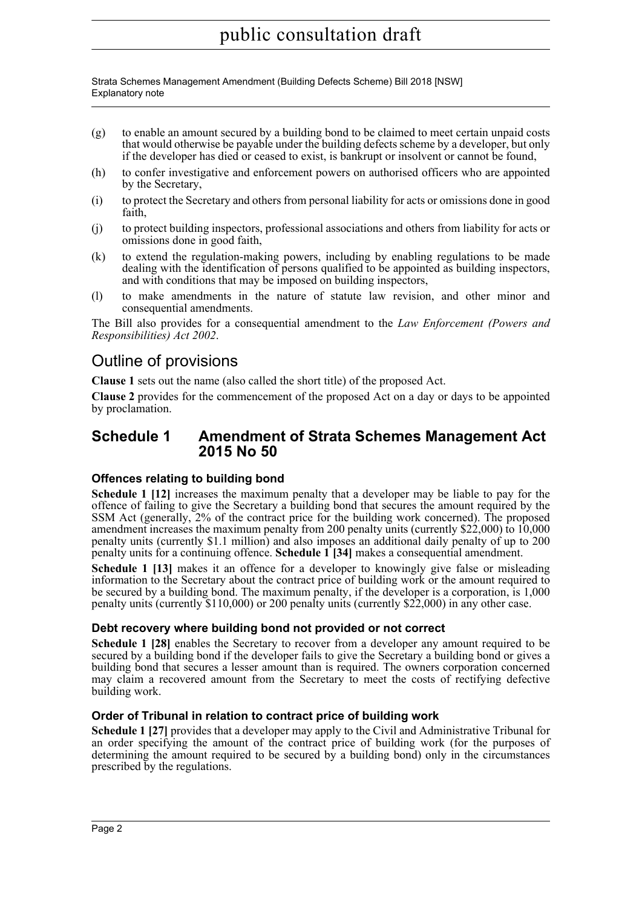Strata Schemes Management Amendment (Building Defects Scheme) Bill 2018 [NSW] Explanatory note

- (g) to enable an amount secured by a building bond to be claimed to meet certain unpaid costs that would otherwise be payable under the building defects scheme by a developer, but only if the developer has died or ceased to exist, is bankrupt or insolvent or cannot be found,
- (h) to confer investigative and enforcement powers on authorised officers who are appointed by the Secretary,
- (i) to protect the Secretary and others from personal liability for acts or omissions done in good faith,
- (j) to protect building inspectors, professional associations and others from liability for acts or omissions done in good faith,
- (k) to extend the regulation-making powers, including by enabling regulations to be made dealing with the identification of persons qualified to be appointed as building inspectors, and with conditions that may be imposed on building inspectors,
- (l) to make amendments in the nature of statute law revision, and other minor and consequential amendments.

The Bill also provides for a consequential amendment to the *Law Enforcement (Powers and Responsibilities) Act 2002*.

## Outline of provisions

**Clause 1** sets out the name (also called the short title) of the proposed Act.

**Clause 2** provides for the commencement of the proposed Act on a day or days to be appointed by proclamation.

### **Schedule 1 Amendment of Strata Schemes Management Act 2015 No 50**

#### **Offences relating to building bond**

**Schedule 1 [12]** increases the maximum penalty that a developer may be liable to pay for the offence of failing to give the Secretary a building bond that secures the amount required by the SSM Act (generally, 2% of the contract price for the building work concerned). The proposed amendment increases the maximum penalty from 200 penalty units (currently \$22,000) to 10,000 penalty units (currently \$1.1 million) and also imposes an additional daily penalty of up to 200 penalty units for a continuing offence. **Schedule 1 [34]** makes a consequential amendment.

**Schedule 1 [13]** makes it an offence for a developer to knowingly give false or misleading information to the Secretary about the contract price of building work or the amount required to be secured by a building bond. The maximum penalty, if the developer is a corporation, is 1,000 penalty units (currently \$110,000) or 200 penalty units (currently \$22,000) in any other case.

### **Debt recovery where building bond not provided or not correct**

**Schedule 1 [28]** enables the Secretary to recover from a developer any amount required to be secured by a building bond if the developer fails to give the Secretary a building bond or gives a building bond that secures a lesser amount than is required. The owners corporation concerned may claim a recovered amount from the Secretary to meet the costs of rectifying defective building work.

#### **Order of Tribunal in relation to contract price of building work**

**Schedule 1 [27]** provides that a developer may apply to the Civil and Administrative Tribunal for an order specifying the amount of the contract price of building work (for the purposes of determining the amount required to be secured by a building bond) only in the circumstances prescribed by the regulations.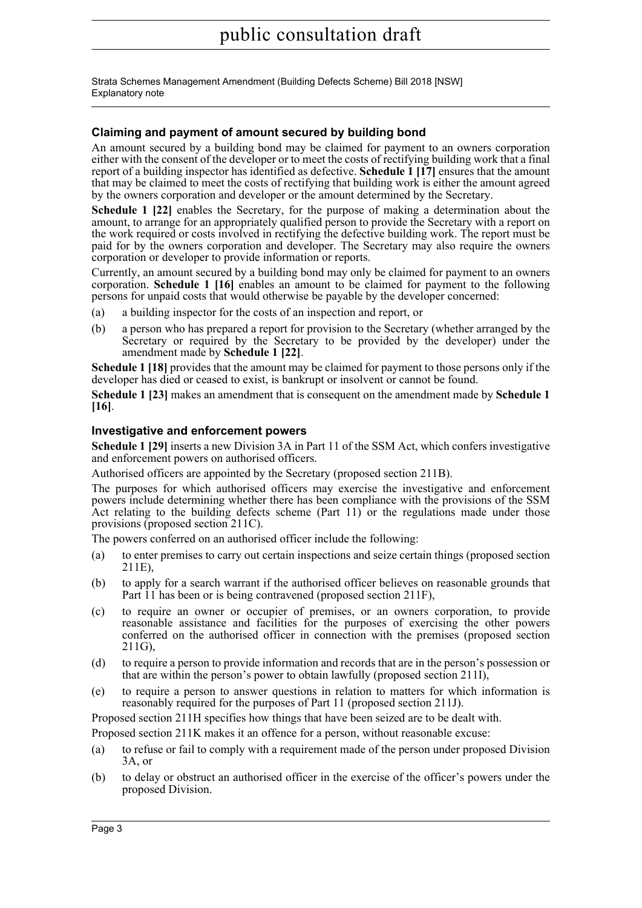Strata Schemes Management Amendment (Building Defects Scheme) Bill 2018 [NSW] Explanatory note

#### **Claiming and payment of amount secured by building bond**

An amount secured by a building bond may be claimed for payment to an owners corporation either with the consent of the developer or to meet the costs of rectifying building work that a final report of a building inspector has identified as defective. **Schedule 1 [17]** ensures that the amount that may be claimed to meet the costs of rectifying that building work is either the amount agreed by the owners corporation and developer or the amount determined by the Secretary.

**Schedule 1 [22]** enables the Secretary, for the purpose of making a determination about the amount, to arrange for an appropriately qualified person to provide the Secretary with a report on the work required or costs involved in rectifying the defective building work. The report must be paid for by the owners corporation and developer. The Secretary may also require the owners corporation or developer to provide information or reports.

Currently, an amount secured by a building bond may only be claimed for payment to an owners corporation. **Schedule 1 [16]** enables an amount to be claimed for payment to the following persons for unpaid costs that would otherwise be payable by the developer concerned:

- (a) a building inspector for the costs of an inspection and report, or
- (b) a person who has prepared a report for provision to the Secretary (whether arranged by the Secretary or required by the Secretary to be provided by the developer) under the amendment made by **Schedule 1 [22]**.

**Schedule 1 [18]** provides that the amount may be claimed for payment to those persons only if the developer has died or ceased to exist, is bankrupt or insolvent or cannot be found.

**Schedule 1 [23]** makes an amendment that is consequent on the amendment made by **Schedule 1 [16]**.

#### **Investigative and enforcement powers**

**Schedule 1 [29]** inserts a new Division 3A in Part 11 of the SSM Act, which confers investigative and enforcement powers on authorised officers.

Authorised officers are appointed by the Secretary (proposed section 211B).

The purposes for which authorised officers may exercise the investigative and enforcement powers include determining whether there has been compliance with the provisions of the SSM Act relating to the building defects scheme  $(Part 11)$  or the regulations made under those provisions (proposed section 211C).

The powers conferred on an authorised officer include the following:

- (a) to enter premises to carry out certain inspections and seize certain things (proposed section 211E),
- (b) to apply for a search warrant if the authorised officer believes on reasonable grounds that Part 11 has been or is being contravened (proposed section 211F),
- (c) to require an owner or occupier of premises, or an owners corporation, to provide reasonable assistance and facilities for the purposes of exercising the other powers conferred on the authorised officer in connection with the premises (proposed section 211G),
- (d) to require a person to provide information and records that are in the person's possession or that are within the person's power to obtain lawfully (proposed section 211I),
- (e) to require a person to answer questions in relation to matters for which information is reasonably required for the purposes of Part 11 (proposed section 211J).

Proposed section 211H specifies how things that have been seized are to be dealt with.

Proposed section 211K makes it an offence for a person, without reasonable excuse:

- (a) to refuse or fail to comply with a requirement made of the person under proposed Division 3A, or
- (b) to delay or obstruct an authorised officer in the exercise of the officer's powers under the proposed Division.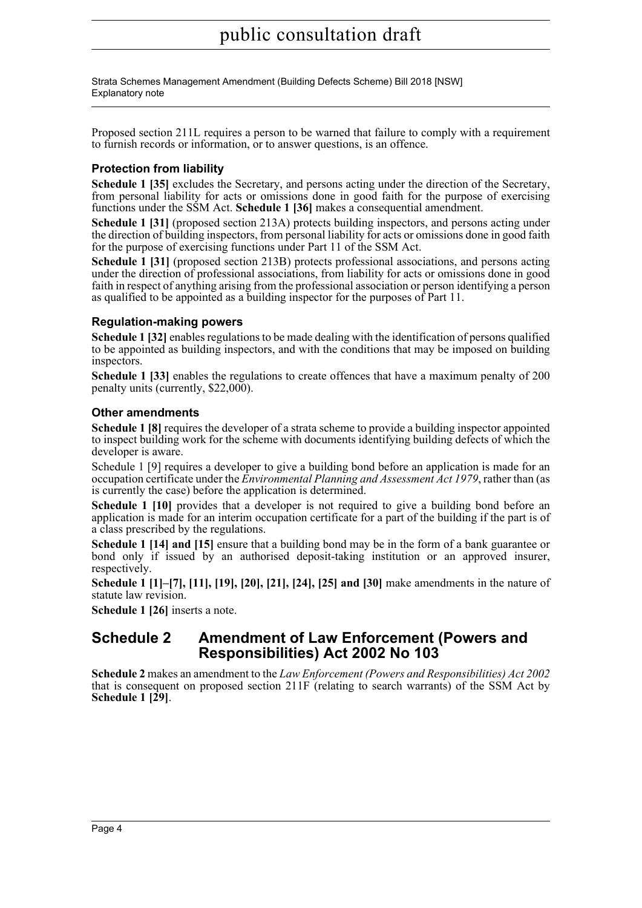Strata Schemes Management Amendment (Building Defects Scheme) Bill 2018 [NSW] Explanatory note

Proposed section 211L requires a person to be warned that failure to comply with a requirement to furnish records or information, or to answer questions, is an offence.

#### **Protection from liability**

**Schedule 1 [35]** excludes the Secretary, and persons acting under the direction of the Secretary, from personal liability for acts or omissions done in good faith for the purpose of exercising functions under the SSM Act. **Schedule 1 [36]** makes a consequential amendment.

**Schedule 1 [31]** (proposed section 213A) protects building inspectors, and persons acting under the direction of building inspectors, from personal liability for acts or omissions done in good faith for the purpose of exercising functions under Part 11 of the SSM Act.

**Schedule 1 [31]** (proposed section 213B) protects professional associations, and persons acting under the direction of professional associations, from liability for acts or omissions done in good faith in respect of anything arising from the professional association or person identifying a person as qualified to be appointed as a building inspector for the purposes of Part 11.

#### **Regulation-making powers**

**Schedule 1 [32]** enables regulations to be made dealing with the identification of persons qualified to be appointed as building inspectors, and with the conditions that may be imposed on building inspectors.

**Schedule 1 [33]** enables the regulations to create offences that have a maximum penalty of 200 penalty units (currently, \$22,000).

#### **Other amendments**

**Schedule 1 [8]** requires the developer of a strata scheme to provide a building inspector appointed to inspect building work for the scheme with documents identifying building defects of which the developer is aware.

Schedule 1 [9] requires a developer to give a building bond before an application is made for an occupation certificate under the *Environmental Planning and Assessment Act 1979*, rather than (as is currently the case) before the application is determined.

**Schedule 1 [10]** provides that a developer is not required to give a building bond before an application is made for an interim occupation certificate for a part of the building if the part is of a class prescribed by the regulations.

**Schedule 1 [14] and [15]** ensure that a building bond may be in the form of a bank guarantee or bond only if issued by an authorised deposit-taking institution or an approved insurer, respectively.

**Schedule 1 [1]–[7], [11], [19], [20], [21], [24], [25] and [30]** make amendments in the nature of statute law revision.

**Schedule 1 [26]** inserts a note.

### **Schedule 2 Amendment of Law Enforcement (Powers and Responsibilities) Act 2002 No 103**

**Schedule 2** makes an amendment to the *Law Enforcement (Powers and Responsibilities) Act 2002* that is consequent on proposed section 211F (relating to search warrants) of the SSM Act by **Schedule 1 [29]**.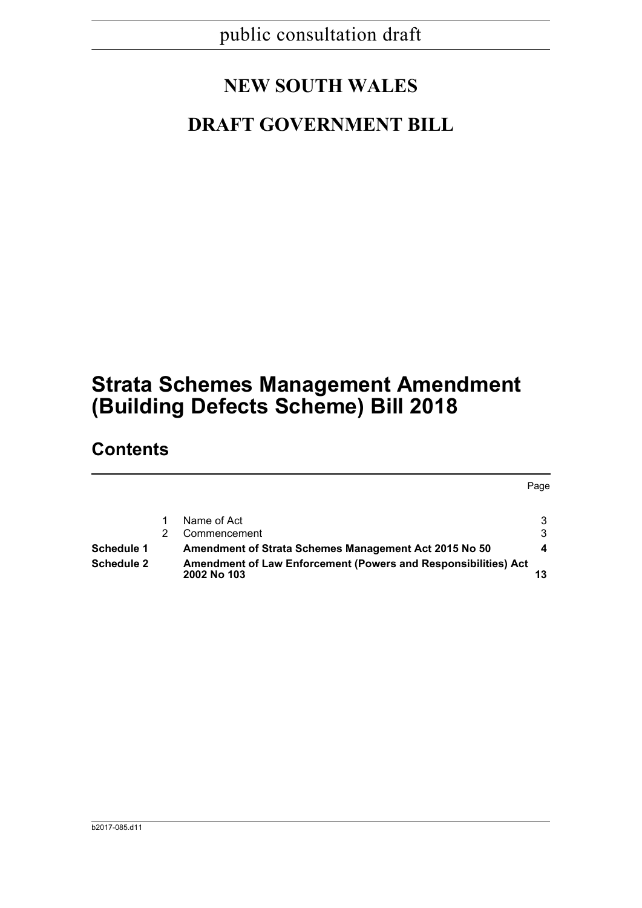# **NEW SOUTH WALES**

# **DRAFT GOVERNMENT BILL**

# **Strata Schemes Management Amendment (Building Defects Scheme) Bill 2018**

## **Contents**

Page 1 Name of Act 3 3 2 Commencement 3 **Schedule 1 Amendment of Strata Schemes Management Act 2015 No 50 4 Schedule 2 Amendment of Law Enforcement (Powers and Responsibilities) Act 2002 No 103 13**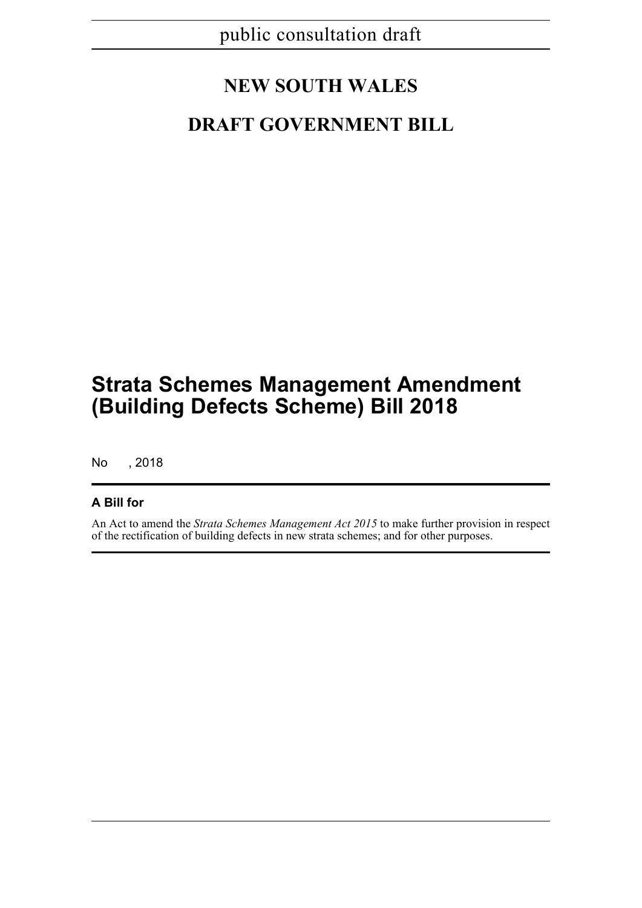# **NEW SOUTH WALES**

# **DRAFT GOVERNMENT BILL**

# **Strata Schemes Management Amendment (Building Defects Scheme) Bill 2018**

No , 2018

### **A Bill for**

An Act to amend the *Strata Schemes Management Act 2015* to make further provision in respect of the rectification of building defects in new strata schemes; and for other purposes.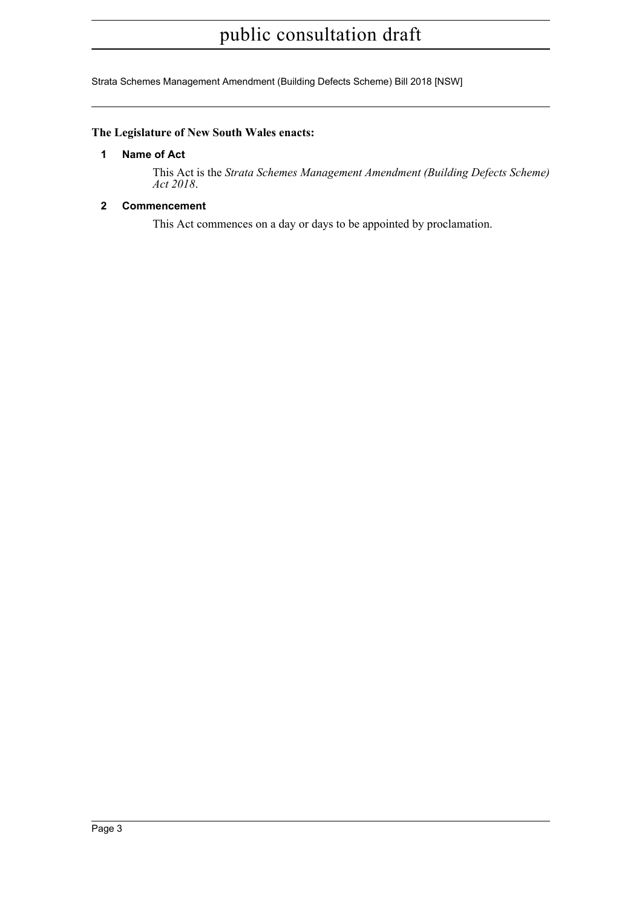Strata Schemes Management Amendment (Building Defects Scheme) Bill 2018 [NSW]

### **The Legislature of New South Wales enacts:**

#### **1 Name of Act**

This Act is the *Strata Schemes Management Amendment (Building Defects Scheme) Act 2018*.

#### **2 Commencement**

This Act commences on a day or days to be appointed by proclamation.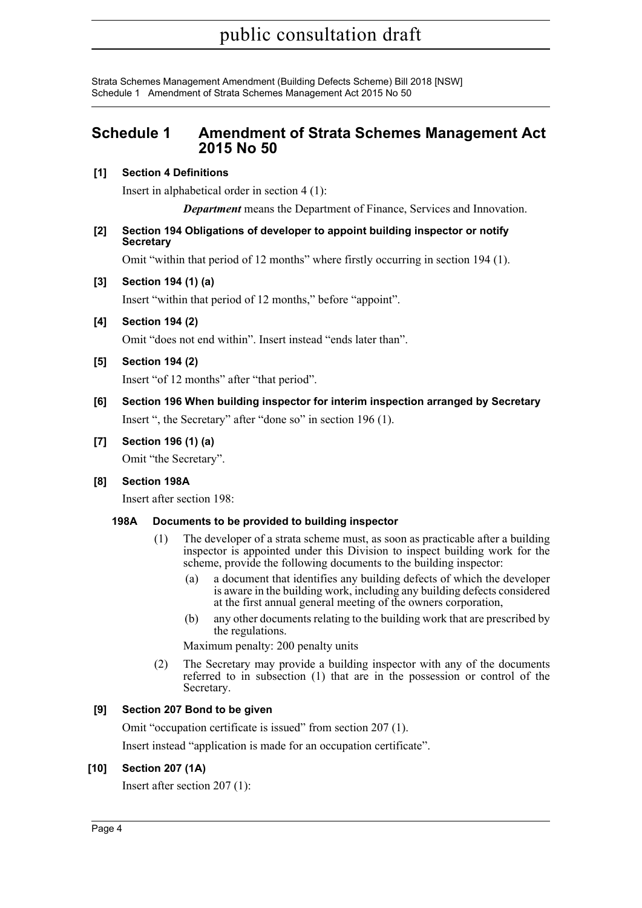### **Schedule 1 Amendment of Strata Schemes Management Act 2015 No 50**

#### **[1] Section 4 Definitions**

Insert in alphabetical order in section 4 (1):

*Department* means the Department of Finance, Services and Innovation.

#### **[2] Section 194 Obligations of developer to appoint building inspector or notify Secretary**

Omit "within that period of 12 months" where firstly occurring in section 194 (1).

#### **[3] Section 194 (1) (a)**

Insert "within that period of 12 months," before "appoint".

**[4] Section 194 (2)**

Omit "does not end within". Insert instead "ends later than".

**[5] Section 194 (2)**

Insert "of 12 months" after "that period".

**[6] Section 196 When building inspector for interim inspection arranged by Secretary** Insert ", the Secretary" after "done so" in section 196 (1).

### **[7] Section 196 (1) (a)**

Omit "the Secretary".

#### **[8] Section 198A**

Insert after section 198:

#### **198A Documents to be provided to building inspector**

- (1) The developer of a strata scheme must, as soon as practicable after a building inspector is appointed under this Division to inspect building work for the scheme, provide the following documents to the building inspector:
	- (a) a document that identifies any building defects of which the developer is aware in the building work, including any building defects considered at the first annual general meeting of the owners corporation,
	- (b) any other documents relating to the building work that are prescribed by the regulations.

Maximum penalty: 200 penalty units

(2) The Secretary may provide a building inspector with any of the documents referred to in subsection (1) that are in the possession or control of the Secretary.

### **[9] Section 207 Bond to be given**

Omit "occupation certificate is issued" from section 207 (1).

Insert instead "application is made for an occupation certificate".

#### **[10] Section 207 (1A)**

Insert after section 207 (1):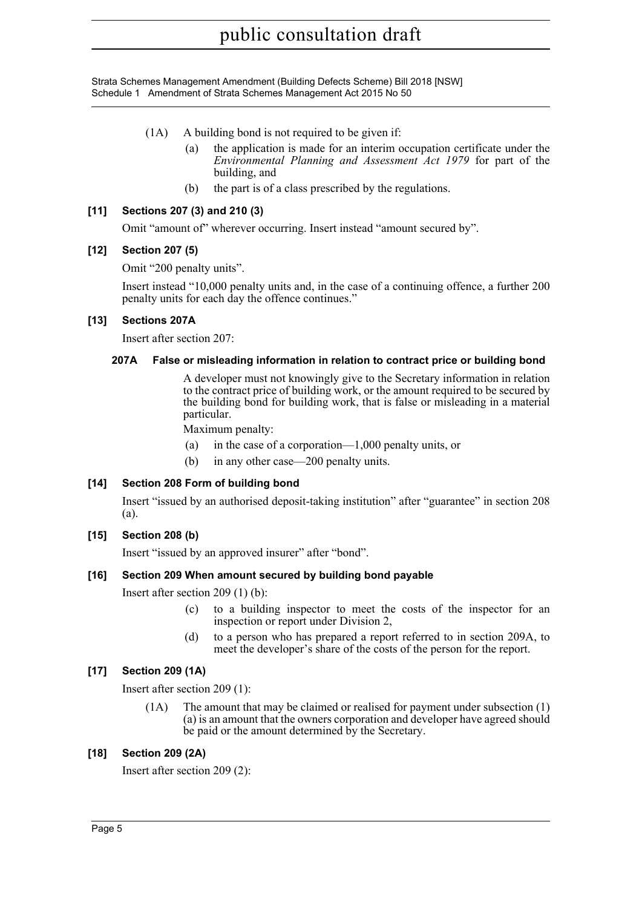- (1A) A building bond is not required to be given if:
	- (a) the application is made for an interim occupation certificate under the *Environmental Planning and Assessment Act 1979* for part of the building, and
	- (b) the part is of a class prescribed by the regulations.

#### **[11] Sections 207 (3) and 210 (3)**

Omit "amount of" wherever occurring. Insert instead "amount secured by".

#### **[12] Section 207 (5)**

Omit "200 penalty units".

Insert instead "10,000 penalty units and, in the case of a continuing offence, a further 200 penalty units for each day the offence continues."

#### **[13] Sections 207A**

Insert after section 207:

#### **207A False or misleading information in relation to contract price or building bond**

A developer must not knowingly give to the Secretary information in relation to the contract price of building work, or the amount required to be secured by the building bond for building work, that is false or misleading in a material particular.

Maximum penalty:

- (a) in the case of a corporation—1,000 penalty units, or
- (b) in any other case—200 penalty units.

#### **[14] Section 208 Form of building bond**

Insert "issued by an authorised deposit-taking institution" after "guarantee" in section 208 (a).

#### **[15] Section 208 (b)**

Insert "issued by an approved insurer" after "bond".

#### **[16] Section 209 When amount secured by building bond payable**

Insert after section 209 (1) (b):

- (c) to a building inspector to meet the costs of the inspector for an inspection or report under Division 2,
- (d) to a person who has prepared a report referred to in section 209A, to meet the developer's share of the costs of the person for the report.

#### **[17] Section 209 (1A)**

Insert after section 209 (1):

(1A) The amount that may be claimed or realised for payment under subsection (1) (a) is an amount that the owners corporation and developer have agreed should be paid or the amount determined by the Secretary.

#### **[18] Section 209 (2A)**

Insert after section 209 (2):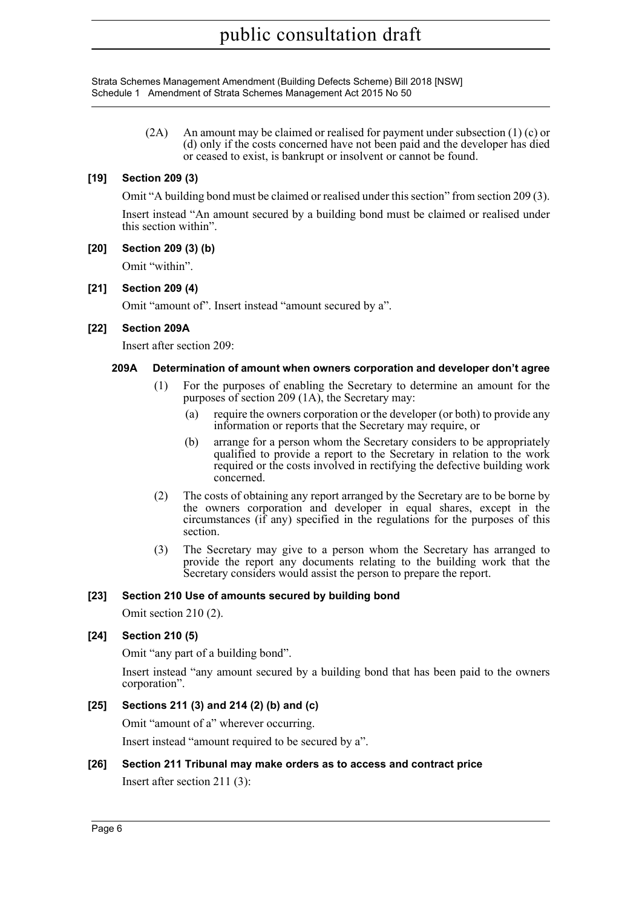Strata Schemes Management Amendment (Building Defects Scheme) Bill 2018 [NSW] Schedule 1 Amendment of Strata Schemes Management Act 2015 No 50

> (2A) An amount may be claimed or realised for payment under subsection  $(1)$  (c) or (d) only if the costs concerned have not been paid and the developer has died or ceased to exist, is bankrupt or insolvent or cannot be found.

#### **[19] Section 209 (3)**

Omit "A building bond must be claimed or realised under this section" from section 209 (3).

Insert instead "An amount secured by a building bond must be claimed or realised under this section within".

#### **[20] Section 209 (3) (b)**

Omit "within".

#### **[21] Section 209 (4)**

Omit "amount of". Insert instead "amount secured by a".

#### **[22] Section 209A**

Insert after section 209:

#### **209A Determination of amount when owners corporation and developer don't agree**

- (1) For the purposes of enabling the Secretary to determine an amount for the purposes of section 209 (1A), the Secretary may:
	- (a) require the owners corporation or the developer (or both) to provide any information or reports that the Secretary may require, or
	- (b) arrange for a person whom the Secretary considers to be appropriately qualified to provide a report to the Secretary in relation to the work required or the costs involved in rectifying the defective building work concerned.
- (2) The costs of obtaining any report arranged by the Secretary are to be borne by the owners corporation and developer in equal shares, except in the circumstances (if any) specified in the regulations for the purposes of this section.
- (3) The Secretary may give to a person whom the Secretary has arranged to provide the report any documents relating to the building work that the Secretary considers would assist the person to prepare the report.

#### **[23] Section 210 Use of amounts secured by building bond**

Omit section 210 (2).

#### **[24] Section 210 (5)**

Omit "any part of a building bond".

Insert instead "any amount secured by a building bond that has been paid to the owners corporation".

#### **[25] Sections 211 (3) and 214 (2) (b) and (c)**

Omit "amount of a" wherever occurring.

Insert instead "amount required to be secured by a".

#### **[26] Section 211 Tribunal may make orders as to access and contract price**

Insert after section 211 (3):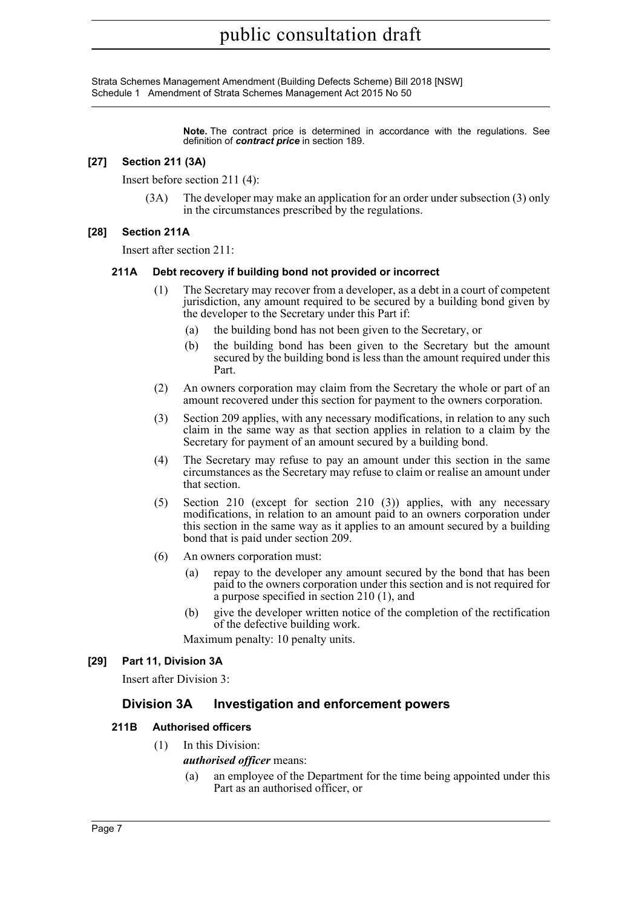> **Note.** The contract price is determined in accordance with the regulations. See definition of *contract price* in section 189.

#### **[27] Section 211 (3A)**

Insert before section 211 (4):

(3A) The developer may make an application for an order under subsection (3) only in the circumstances prescribed by the regulations.

#### **[28] Section 211A**

Insert after section 211:

#### **211A Debt recovery if building bond not provided or incorrect**

- (1) The Secretary may recover from a developer, as a debt in a court of competent jurisdiction, any amount required to be secured by a building bond given by the developer to the Secretary under this Part if:
	- (a) the building bond has not been given to the Secretary, or
	- (b) the building bond has been given to the Secretary but the amount secured by the building bond is less than the amount required under this Part.
- (2) An owners corporation may claim from the Secretary the whole or part of an amount recovered under this section for payment to the owners corporation.
- (3) Section 209 applies, with any necessary modifications, in relation to any such claim in the same way as that section applies in relation to a claim by the Secretary for payment of an amount secured by a building bond.
- (4) The Secretary may refuse to pay an amount under this section in the same circumstances as the Secretary may refuse to claim or realise an amount under that section.
- (5) Section 210 (except for section 210 (3)) applies, with any necessary modifications, in relation to an amount paid to an owners corporation under this section in the same way as it applies to an amount secured by a building bond that is paid under section 209.
- (6) An owners corporation must:
	- (a) repay to the developer any amount secured by the bond that has been paid to the owners corporation under this section and is not required for a purpose specified in section 210 (1), and
	- (b) give the developer written notice of the completion of the rectification of the defective building work.

Maximum penalty: 10 penalty units.

#### **[29] Part 11, Division 3A**

Insert after Division 3:

#### **Division 3A Investigation and enforcement powers**

#### **211B Authorised officers**

(1) In this Division:

#### *authorised officer* means:

(a) an employee of the Department for the time being appointed under this Part as an authorised officer, or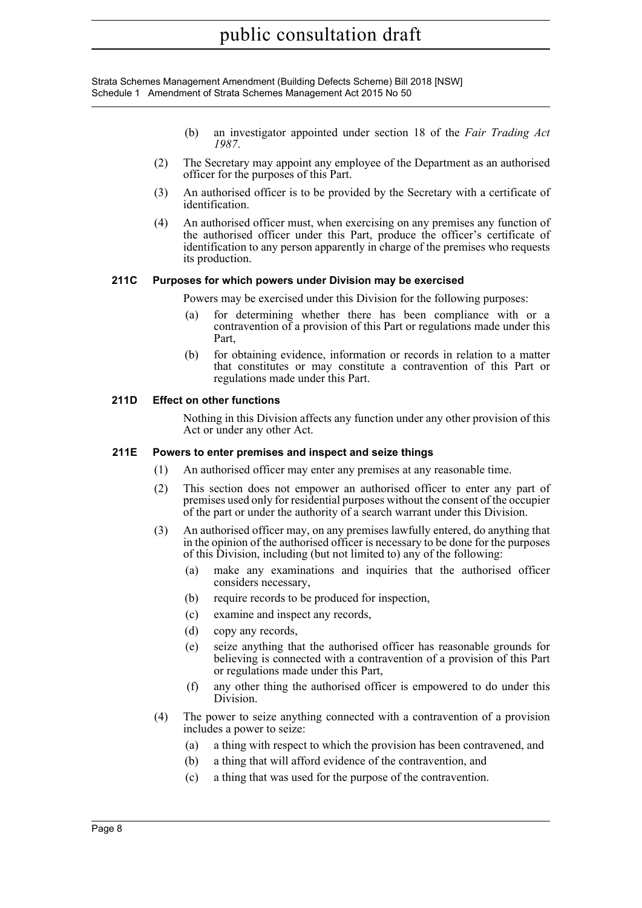- (b) an investigator appointed under section 18 of the *Fair Trading Act 1987*.
- (2) The Secretary may appoint any employee of the Department as an authorised officer for the purposes of this Part.
- (3) An authorised officer is to be provided by the Secretary with a certificate of identification.
- (4) An authorised officer must, when exercising on any premises any function of the authorised officer under this Part, produce the officer's certificate of identification to any person apparently in charge of the premises who requests its production.

#### **211C Purposes for which powers under Division may be exercised**

- Powers may be exercised under this Division for the following purposes:
- (a) for determining whether there has been compliance with or a contravention of a provision of this Part or regulations made under this Part,
- (b) for obtaining evidence, information or records in relation to a matter that constitutes or may constitute a contravention of this Part or regulations made under this Part.

#### **211D Effect on other functions**

Nothing in this Division affects any function under any other provision of this Act or under any other Act.

#### **211E Powers to enter premises and inspect and seize things**

- (1) An authorised officer may enter any premises at any reasonable time.
- (2) This section does not empower an authorised officer to enter any part of premises used only for residential purposes without the consent of the occupier of the part or under the authority of a search warrant under this Division.
- (3) An authorised officer may, on any premises lawfully entered, do anything that in the opinion of the authorised officer is necessary to be done for the purposes of this Division, including (but not limited to) any of the following:
	- (a) make any examinations and inquiries that the authorised officer considers necessary,
	- (b) require records to be produced for inspection,
	- (c) examine and inspect any records,
	- (d) copy any records,
	- (e) seize anything that the authorised officer has reasonable grounds for believing is connected with a contravention of a provision of this Part or regulations made under this Part,
	- (f) any other thing the authorised officer is empowered to do under this Division.
- (4) The power to seize anything connected with a contravention of a provision includes a power to seize:
	- (a) a thing with respect to which the provision has been contravened, and
	- (b) a thing that will afford evidence of the contravention, and
	- (c) a thing that was used for the purpose of the contravention.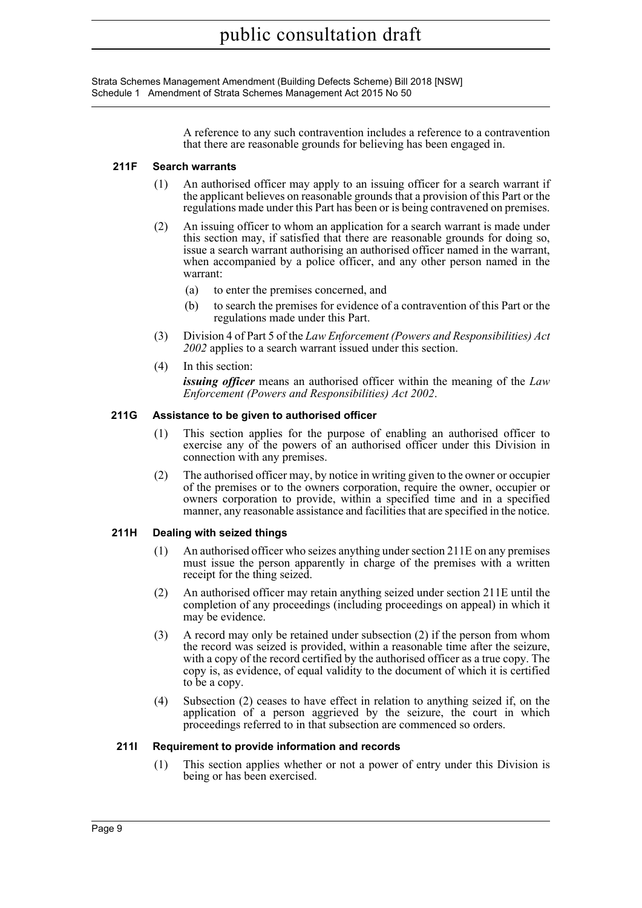> A reference to any such contravention includes a reference to a contravention that there are reasonable grounds for believing has been engaged in.

#### **211F Search warrants**

- (1) An authorised officer may apply to an issuing officer for a search warrant if the applicant believes on reasonable grounds that a provision of this Part or the regulations made under this Part has been or is being contravened on premises.
- (2) An issuing officer to whom an application for a search warrant is made under this section may, if satisfied that there are reasonable grounds for doing so, issue a search warrant authorising an authorised officer named in the warrant, when accompanied by a police officer, and any other person named in the warrant:
	- (a) to enter the premises concerned, and
	- (b) to search the premises for evidence of a contravention of this Part or the regulations made under this Part.
- (3) Division 4 of Part 5 of the *Law Enforcement (Powers and Responsibilities) Act 2002* applies to a search warrant issued under this section.
- (4) In this section:

*issuing officer* means an authorised officer within the meaning of the *Law Enforcement (Powers and Responsibilities) Act 2002*.

#### **211G Assistance to be given to authorised officer**

- (1) This section applies for the purpose of enabling an authorised officer to exercise any of the powers of an authorised officer under this Division in connection with any premises.
- (2) The authorised officer may, by notice in writing given to the owner or occupier of the premises or to the owners corporation, require the owner, occupier or owners corporation to provide, within a specified time and in a specified manner, any reasonable assistance and facilities that are specified in the notice.

#### **211H Dealing with seized things**

- (1) An authorised officer who seizes anything under section 211E on any premises must issue the person apparently in charge of the premises with a written receipt for the thing seized.
- (2) An authorised officer may retain anything seized under section 211E until the completion of any proceedings (including proceedings on appeal) in which it may be evidence.
- (3) A record may only be retained under subsection (2) if the person from whom the record was seized is provided, within a reasonable time after the seizure, with a copy of the record certified by the authorised officer as a true copy. The copy is, as evidence, of equal validity to the document of which it is certified to be a copy.
- (4) Subsection (2) ceases to have effect in relation to anything seized if, on the application of a person aggrieved by the seizure, the court in which proceedings referred to in that subsection are commenced so orders.

#### **211I Requirement to provide information and records**

(1) This section applies whether or not a power of entry under this Division is being or has been exercised.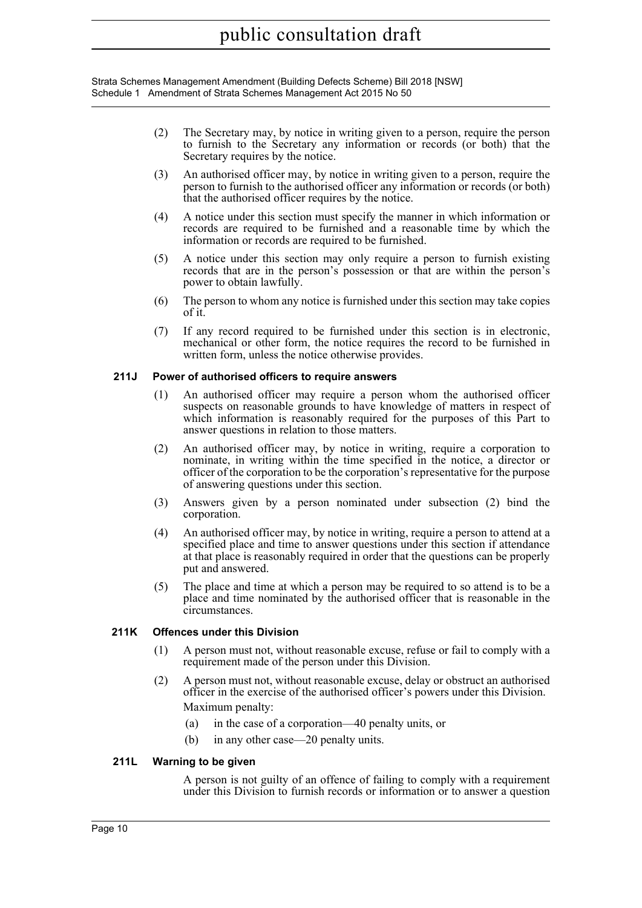Strata Schemes Management Amendment (Building Defects Scheme) Bill 2018 [NSW] Schedule 1 Amendment of Strata Schemes Management Act 2015 No 50

- (2) The Secretary may, by notice in writing given to a person, require the person to furnish to the Secretary any information or records (or both) that the Secretary requires by the notice.
- (3) An authorised officer may, by notice in writing given to a person, require the person to furnish to the authorised officer any information or records (or both) that the authorised officer requires by the notice.
- (4) A notice under this section must specify the manner in which information or records are required to be furnished and a reasonable time by which the information or records are required to be furnished.
- (5) A notice under this section may only require a person to furnish existing records that are in the person's possession or that are within the person's power to obtain lawfully.
- (6) The person to whom any notice is furnished under this section may take copies of it.
- (7) If any record required to be furnished under this section is in electronic, mechanical or other form, the notice requires the record to be furnished in written form, unless the notice otherwise provides.

#### **211J Power of authorised officers to require answers**

- (1) An authorised officer may require a person whom the authorised officer suspects on reasonable grounds to have knowledge of matters in respect of which information is reasonably required for the purposes of this Part to answer questions in relation to those matters.
- (2) An authorised officer may, by notice in writing, require a corporation to nominate, in writing within the time specified in the notice, a director or officer of the corporation to be the corporation's representative for the purpose of answering questions under this section.
- (3) Answers given by a person nominated under subsection (2) bind the corporation.
- (4) An authorised officer may, by notice in writing, require a person to attend at a specified place and time to answer questions under this section if attendance at that place is reasonably required in order that the questions can be properly put and answered.
- (5) The place and time at which a person may be required to so attend is to be a place and time nominated by the authorised officer that is reasonable in the circumstances.

#### **211K Offences under this Division**

- (1) A person must not, without reasonable excuse, refuse or fail to comply with a requirement made of the person under this Division.
- (2) A person must not, without reasonable excuse, delay or obstruct an authorised officer in the exercise of the authorised officer's powers under this Division. Maximum penalty:
	- (a) in the case of a corporation—40 penalty units, or
	- (b) in any other case—20 penalty units.

#### **211L Warning to be given**

A person is not guilty of an offence of failing to comply with a requirement under this Division to furnish records or information or to answer a question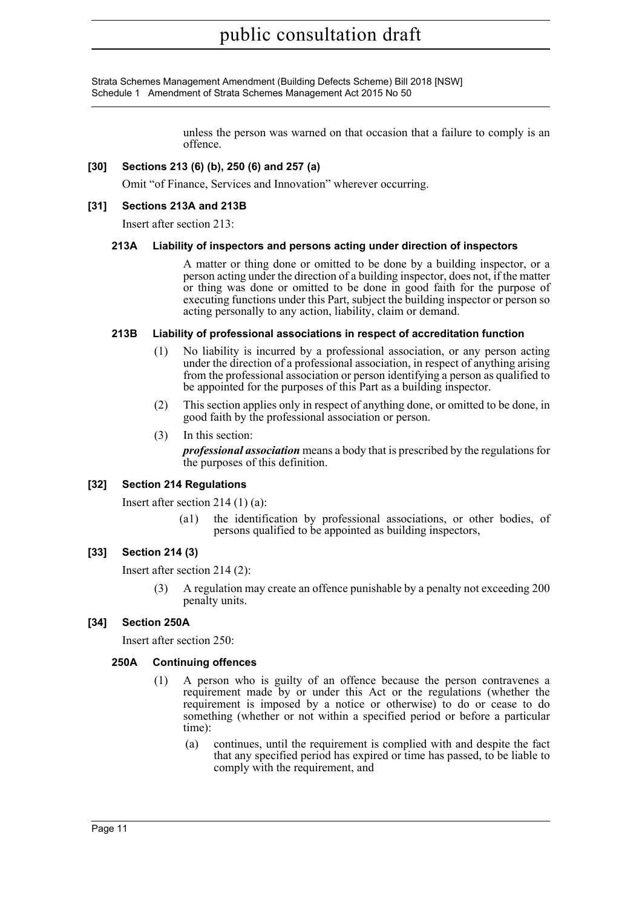Strata Schemes Management Amendment (Building Defects Scheme) Bill 2018 [NSW] Schedule 1 Amendment of Strata Schemes Management Act 2015 No 50

> unless the person was warned on that occasion that a failure to comply is an offence.

#### **[30] Sections 213 (6) (b), 250 (6) and 257 (a)**

Omit "of Finance, Services and Innovation" wherever occurring.

#### **[31] Sections 213A and 213B**

Insert after section 213:

#### **213A Liability of inspectors and persons acting under direction of inspectors**

A matter or thing done or omitted to be done by a building inspector, or a person acting under the direction of a building inspector, does not, if the matter or thing was done or omitted to be done in good faith for the purpose of executing functions under this Part, subject the building inspector or person so acting personally to any action, liability, claim or demand.

#### **213B Liability of professional associations in respect of accreditation function**

- (1) No liability is incurred by a professional association, or any person acting under the direction of a professional association, in respect of anything arising from the professional association or person identifying a person as qualified to be appointed for the purposes of this Part as a building inspector.
- (2) This section applies only in respect of anything done, or omitted to be done, in good faith by the professional association or person.
- (3) In this section:

*professional association* means a body that is prescribed by the regulations for the purposes of this definition.

#### **[32] Section 214 Regulations**

Insert after section 214 (1) (a):

(a1) the identification by professional associations, or other bodies, of persons qualified to be appointed as building inspectors,

#### **[33] Section 214 (3)**

Insert after section 214 (2):

A regulation may create an offence punishable by a penalty not exceeding 200 penalty units.

#### **[34] Section 250A**

Insert after section 250:

#### **250A Continuing offences**

- (1) A person who is guilty of an offence because the person contravenes a requirement made by or under this Act or the regulations (whether the requirement is imposed by a notice or otherwise) to do or cease to do something (whether or not within a specified period or before a particular time):
	- (a) continues, until the requirement is complied with and despite the fact that any specified period has expired or time has passed, to be liable to comply with the requirement, and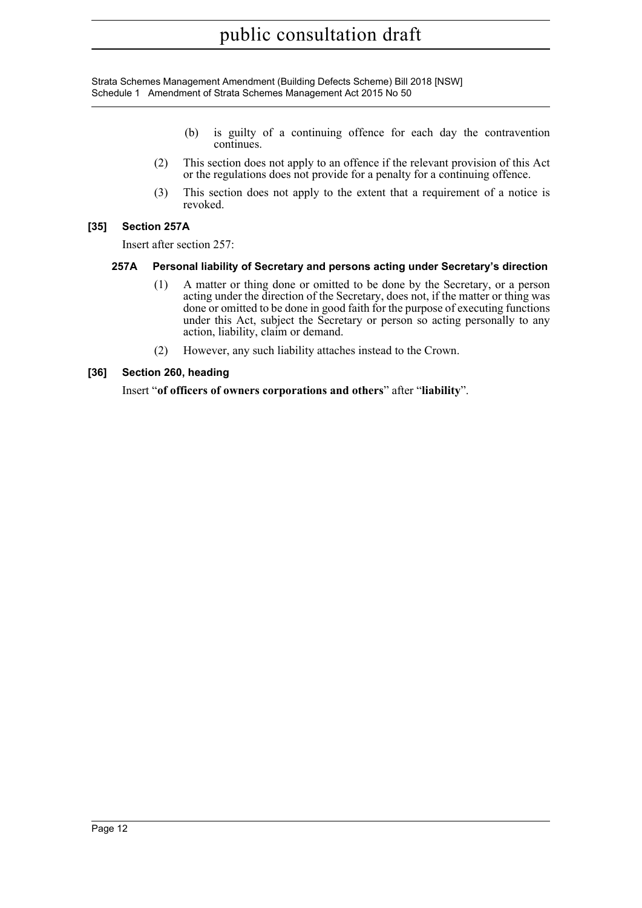- (b) is guilty of a continuing offence for each day the contravention continues.
- (2) This section does not apply to an offence if the relevant provision of this Act or the regulations does not provide for a penalty for a continuing offence.
- (3) This section does not apply to the extent that a requirement of a notice is revoked.

#### **[35] Section 257A**

Insert after section 257:

#### **257A Personal liability of Secretary and persons acting under Secretary's direction**

- (1) A matter or thing done or omitted to be done by the Secretary, or a person acting under the direction of the Secretary, does not, if the matter or thing was done or omitted to be done in good faith for the purpose of executing functions under this Act, subject the Secretary or person so acting personally to any action, liability, claim or demand.
- (2) However, any such liability attaches instead to the Crown.

#### **[36] Section 260, heading**

Insert "**of officers of owners corporations and others**" after "**liability**".